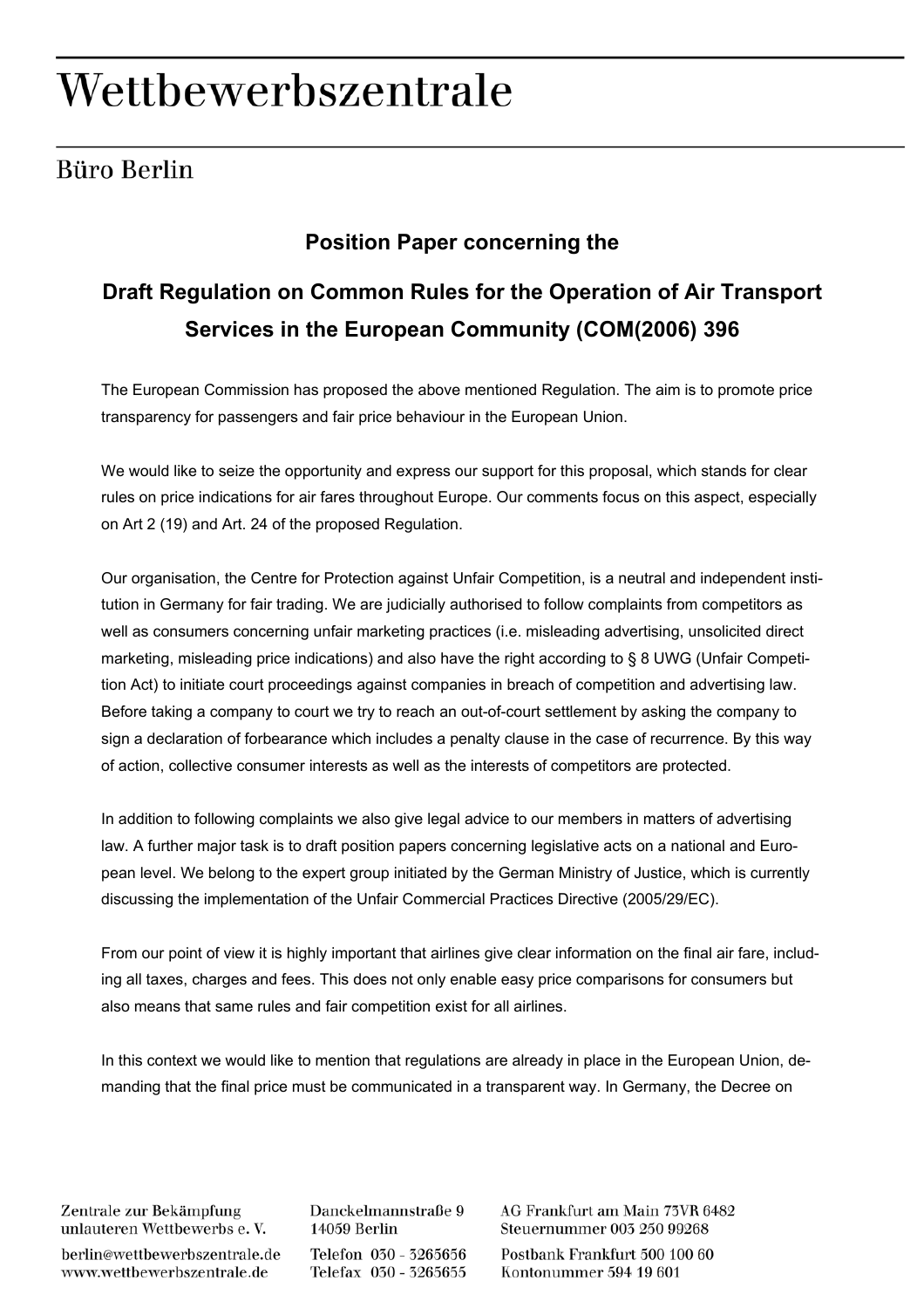## Wettbewerbszentrale

## Büro Berlin

## **Position Paper concerning the**

## **Draft Regulation on Common Rules for the Operation of Air Transport Services in the European Community (COM(2006) 396**

The European Commission has proposed the above mentioned Regulation. The aim is to promote price transparency for passengers and fair price behaviour in the European Union.

We would like to seize the opportunity and express our support for this proposal, which stands for clear rules on price indications for air fares throughout Europe. Our comments focus on this aspect, especially on Art 2 (19) and Art. 24 of the proposed Regulation.

Our organisation, the Centre for Protection against Unfair Competition, is a neutral and independent institution in Germany for fair trading. We are judicially authorised to follow complaints from competitors as well as consumers concerning unfair marketing practices (i.e. misleading advertising, unsolicited direct marketing, misleading price indications) and also have the right according to § 8 UWG (Unfair Competition Act) to initiate court proceedings against companies in breach of competition and advertising law. Before taking a company to court we try to reach an out-of-court settlement by asking the company to sign a declaration of forbearance which includes a penalty clause in the case of recurrence. By this way of action, collective consumer interests as well as the interests of competitors are protected.

In addition to following complaints we also give legal advice to our members in matters of advertising law. A further major task is to draft position papers concerning legislative acts on a national and European level. We belong to the expert group initiated by the German Ministry of Justice, which is currently discussing the implementation of the Unfair Commercial Practices Directive (2005/29/EC).

From our point of view it is highly important that airlines give clear information on the final air fare, including all taxes, charges and fees. This does not only enable easy price comparisons for consumers but also means that same rules and fair competition exist for all airlines.

In this context we would like to mention that regulations are already in place in the European Union, demanding that the final price must be communicated in a transparent way. In Germany, the Decree on

Zentrale zur Bekämpfung unlauteren Wettbewerbs e.V.

berlin@wettbewerbszentrale.de www.wettbewerbszentrale.de

Danckelmannstraße 9 14059 Berlin Telefon 030 - 3265656 Telefax 030 - 3265655 AG Frankfurt am Main 73VR 6482 Steuernummer 005 250 99268

Postbank Frankfurt 500 100 60 Kontonummer 594 19 601